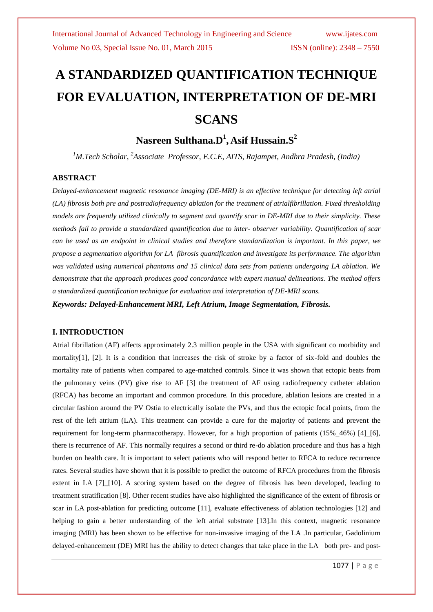# **A STANDARDIZED QUANTIFICATION TECHNIQUE FOR EVALUATION, INTERPRETATION OF DE-MRI SCANS**

# **Nasreen Sulthana.D<sup>1</sup> , Asif Hussain.S<sup>2</sup>**

*<sup>1</sup>M.Tech Scholar, <sup>2</sup>Associate Professor, E.C.E, AITS, Rajampet, Andhra Pradesh, (India)*

#### **ABSTRACT**

*Delayed-enhancement magnetic resonance imaging (DE-MRI) is an effective technique for detecting left atrial (LA) fibrosis both pre and postradiofrequency ablation for the treatment of atrialfibrillation. Fixed thresholding models are frequently utilized clinically to segment and quantify scar in DE-MRI due to their simplicity. These methods fail to provide a standardized quantification due to inter- observer variability. Quantification of scar can be used as an endpoint in clinical studies and therefore standardization is important. In this paper, we propose a segmentation algorithm for LA fibrosis quantification and investigate its performance. The algorithm was validated using numerical phantoms and 15 clinical data sets from patients undergoing LA ablation. We demonstrate that the approach produces good concordance with expert manual delineations. The method offers a standardized quantification technique for evaluation and interpretation of DE-MRI scans.*

*Keywords: Delayed-Enhancement MRI, Left Atrium, Image Segmentation, Fibrosis.*

#### **I. INTRODUCTION**

Atrial fibrillation (AF) affects approximately 2.3 million people in the USA with significant co morbidity and mortality[1], [2]. It is a condition that increases the risk of stroke by a factor of six-fold and doubles the mortality rate of patients when compared to age-matched controls. Since it was shown that ectopic beats from the pulmonary veins (PV) give rise to AF [3] the treatment of AF using radiofrequency catheter ablation (RFCA) has become an important and common procedure. In this procedure, ablation lesions are created in a circular fashion around the PV Ostia to electrically isolate the PVs, and thus the ectopic focal points, from the rest of the left atrium (LA). This treatment can provide a cure for the majority of patients and prevent the requirement for long-term pharmacotherapy. However, for a high proportion of patients (15%\_46%) [4]\_[6], there is recurrence of AF. This normally requires a second or third re-do ablation procedure and thus has a high burden on health care. It is important to select patients who will respond better to RFCA to reduce recurrence rates. Several studies have shown that it is possible to predict the outcome of RFCA procedures from the fibrosis extent in LA [7] [10]. A scoring system based on the degree of fibrosis has been developed, leading to treatment stratification [8]. Other recent studies have also highlighted the significance of the extent of fibrosis or scar in LA post-ablation for predicting outcome [11], evaluate effectiveness of ablation technologies [12] and helping to gain a better understanding of the left atrial substrate [13]. In this context, magnetic resonance imaging (MRI) has been shown to be effective for non-invasive imaging of the LA .In particular, Gadolinium delayed-enhancement (DE) MRI has the ability to detect changes that take place in the LA both pre- and post-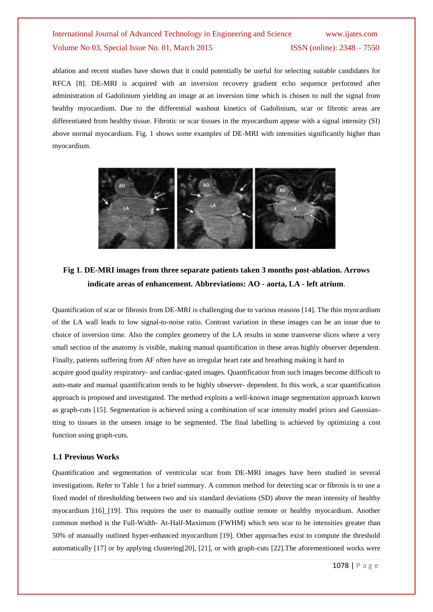ablation and recent studies have shown that it could potentially be useful for selecting suitable candidates for RFCA [8]. DE-MRI is acquired with an inversion recovery gradient echo sequence performed after administration of Gadolinium yielding an image at an inversion time which is chosen to null the signal from healthy myocardium. Due to the differential washout kinetics of Gadolinium, scar or fibrotic areas are differentiated from healthy tissue. Fibrotic or scar tissues in the myocardium appear with a signal intensity (SI) above normal myocardium. Fig. 1 shows some examples of DE-MRI with intensities significantly higher than myocardium.



### **Fig 1. DE-MRI images from three separate patients taken 3 months post-ablation. Arrows indicate areas of enhancement. Abbreviations: AO - aorta, LA - left atrium**.

Quantification of scar or fibrosis from DE-MRI is challenging due to various reasons [14]. The thin myocardium of the LA wall leads to low signal-to-noise ratio. Contrast variation in these images can be an issue due to choice of inversion time. Also the complex geometry of the LA results in some transverse slices where a very small section of the anatomy is visible, making manual quantification in these areas highly observer dependent. Finally, patients suffering from AF often have an irregular heart rate and breathing making it hard to acquire good quality respiratory- and cardiac-gated images. Quantification from such images become difficult to auto-mate and manual quantification tends to be highly observer- dependent. In this work, a scar quantification approach is proposed and investigated. The method exploits a well-known image segmentation approach known as graph-cuts [15]. Segmentation is achieved using a combination of scar intensity model priors and Gaussiantting to tissues in the unseen image to be segmented. The final labelling is achieved by optimizing a cost function using graph-cuts.

#### **1.1 Previous Works**

Quantification and segmentation of ventricular scar from DE-MRI images have been studied in several investigations. Refer to Table 1 for a brief summary. A common method for detecting scar or fibrosis is to use a fixed model of thresholding between two and six standard deviations (SD) above the mean intensity of healthy myocardium [16]\_[19]. This requires the user to manually outline remote or healthy myocardium. Another common method is the Full-Width- At-Half-Maximum (FWHM) which sets scar to be intensities greater than 50% of manually outlined hyper-enhanced myocardium [19]. Other approaches exist to compute the threshold automatically [17] or by applying clustering[20], [21], or with graph-cuts [22].The aforementioned works were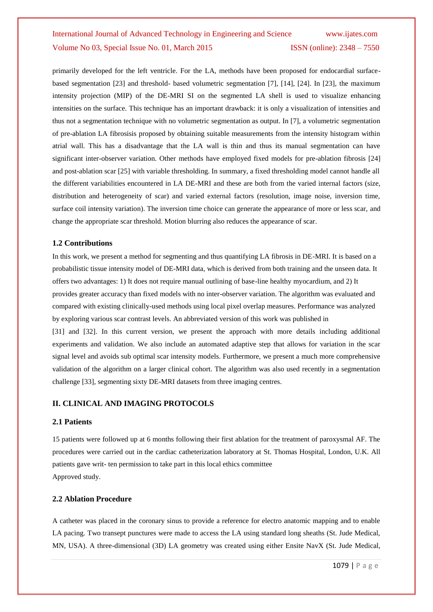primarily developed for the left ventricle. For the LA, methods have been proposed for endocardial surfacebased segmentation [23] and threshold- based volumetric segmentation [7], [14], [24]. In [23], the maximum intensity projection (MIP) of the DE-MRI SI on the segmented LA shell is used to visualize enhancing intensities on the surface. This technique has an important drawback: it is only a visualization of intensities and thus not a segmentation technique with no volumetric segmentation as output. In [7], a volumetric segmentation of pre-ablation LA fibrosisis proposed by obtaining suitable measurements from the intensity histogram within atrial wall. This has a disadvantage that the LA wall is thin and thus its manual segmentation can have significant inter-observer variation. Other methods have employed fixed models for pre-ablation fibrosis [24] and post-ablation scar [25] with variable thresholding. In summary, a fixed thresholding model cannot handle all the different variabilities encountered in LA DE-MRI and these are both from the varied internal factors (size, distribution and heterogeneity of scar) and varied external factors (resolution, image noise, inversion time, surface coil intensity variation). The inversion time choice can generate the appearance of more or less scar, and change the appropriate scar threshold. Motion blurring also reduces the appearance of scar.

#### **1.2 Contributions**

In this work, we present a method for segmenting and thus quantifying LA fibrosis in DE-MRI. It is based on a probabilistic tissue intensity model of DE-MRI data, which is derived from both training and the unseen data. It offers two advantages: 1) It does not require manual outlining of base-line healthy myocardium, and 2) It provides greater accuracy than fixed models with no inter-observer variation. The algorithm was evaluated and compared with existing clinically-used methods using local pixel overlap measures. Performance was analyzed by exploring various scar contrast levels. An abbreviated version of this work was published in [31] and [32]. In this current version, we present the approach with more details including additional

experiments and validation. We also include an automated adaptive step that allows for variation in the scar signal level and avoids sub optimal scar intensity models. Furthermore, we present a much more comprehensive validation of the algorithm on a larger clinical cohort. The algorithm was also used recently in a segmentation challenge [33], segmenting sixty DE-MRI datasets from three imaging centres.

#### **II. CLINICAL AND IMAGING PROTOCOLS**

#### **2.1 Patients**

15 patients were followed up at 6 months following their first ablation for the treatment of paroxysmal AF. The procedures were carried out in the cardiac catheterization laboratory at St. Thomas Hospital, London, U.K. All patients gave writ- ten permission to take part in this local ethics committee Approved study.

#### **2.2 Ablation Procedure**

A catheter was placed in the coronary sinus to provide a reference for electro anatomic mapping and to enable LA pacing. Two transept punctures were made to access the LA using standard long sheaths (St. Jude Medical, MN, USA). A three-dimensional (3D) LA geometry was created using either Ensite NavX (St. Jude Medical,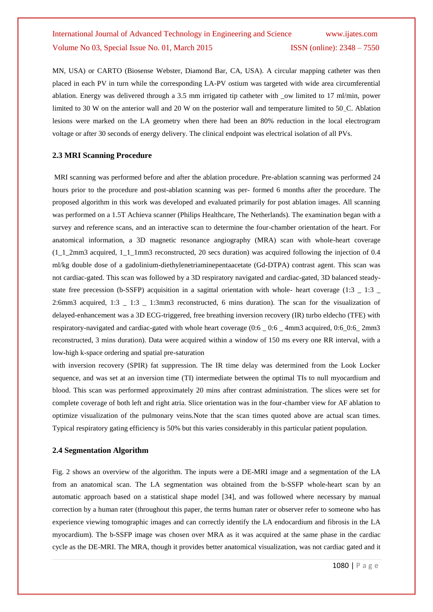MN, USA) or CARTO (Biosense Webster, Diamond Bar, CA, USA). A circular mapping catheter was then placed in each PV in turn while the corresponding LA-PV ostium was targeted with wide area circumferential ablation. Energy was delivered through a 3.5 mm irrigated tip catheter with \_ow limited to 17 ml/min, power limited to 30 W on the anterior wall and 20 W on the posterior wall and temperature limited to 50 C. Ablation lesions were marked on the LA geometry when there had been an 80% reduction in the local electrogram voltage or after 30 seconds of energy delivery. The clinical endpoint was electrical isolation of all PVs.

#### **2.3 MRI Scanning Procedure**

MRI scanning was performed before and after the ablation procedure. Pre-ablation scanning was performed 24 hours prior to the procedure and post-ablation scanning was per- formed 6 months after the procedure. The proposed algorithm in this work was developed and evaluated primarily for post ablation images. All scanning was performed on a 1.5T Achieva scanner (Philips Healthcare, The Netherlands). The examination began with a survey and reference scans, and an interactive scan to determine the four-chamber orientation of the heart. For anatomical information, a 3D magnetic resonance angiography (MRA) scan with whole-heart coverage  $(1\ 1\ 2mm3$  acquired, 1\_1\_1mm3 reconstructed, 20 secs duration) was acquired following the injection of 0.4 ml/kg double dose of a gadolinium-diethylenetriaminepentaacetate (Gd-DTPA) contrast agent. This scan was not cardiac-gated. This scan was followed by a 3D respiratory navigated and cardiac-gated, 3D balanced steadystate free precession (b-SSFP) acquisition in a sagittal orientation with whole- heart coverage (1:3  $\pm$  1:3  $\pm$ 2:6mm3 acquired, 1:3 \_ 1:3 \_ 1:3mm3 reconstructed, 6 mins duration). The scan for the visualization of delayed-enhancement was a 3D ECG-triggered, free breathing inversion recovery (IR) turbo eldecho (TFE) with respiratory-navigated and cardiac-gated with whole heart coverage (0:6 \_ 0:6 \_ 4mm3 acquired, 0:6\_0:6\_ 2mm3 reconstructed, 3 mins duration). Data were acquired within a window of 150 ms every one RR interval, with a low-high k-space ordering and spatial pre-saturation

with inversion recovery (SPIR) fat suppression. The IR time delay was determined from the Look Locker sequence, and was set at an inversion time (TI) intermediate between the optimal TIs to null myocardium and blood. This scan was performed approximately 20 mins after contrast administration. The slices were set for complete coverage of both left and right atria. Slice orientation was in the four-chamber view for AF ablation to optimize visualization of the pulmonary veins.Note that the scan times quoted above are actual scan times. Typical respiratory gating efficiency is 50% but this varies considerably in this particular patient population.

#### **2.4 Segmentation Algorithm**

Fig. 2 shows an overview of the algorithm. The inputs were a DE-MRI image and a segmentation of the LA from an anatomical scan. The LA segmentation was obtained from the b-SSFP whole-heart scan by an automatic approach based on a statistical shape model [34], and was followed where necessary by manual correction by a human rater (throughout this paper, the terms human rater or observer refer to someone who has experience viewing tomographic images and can correctly identify the LA endocardium and fibrosis in the LA myocardium). The b-SSFP image was chosen over MRA as it was acquired at the same phase in the cardiac cycle as the DE-MRI. The MRA, though it provides better anatomical visualization, was not cardiac gated and it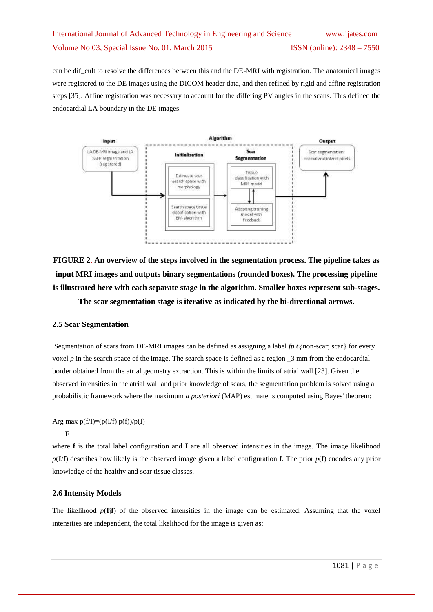can be dif cult to resolve the differences between this and the DE-MRI with registration. The anatomical images were registered to the DE images using the DICOM header data, and then refined by rigid and affine registration steps [35]. Affine registration was necessary to account for the differing PV angles in the scans. This defined the endocardial LA boundary in the DE images.



**FIGURE 2. An overview of the steps involved in the segmentation process. The pipeline takes as input MRI images and outputs binary segmentations (rounded boxes). The processing pipeline is illustrated here with each separate stage in the algorithm. Smaller boxes represent sub-stages.** 

**The scar segmentation stage is iterative as indicated by the bi-directional arrows.**

#### **2.5 Scar Segmentation**

Segmentation of scars from DE-MRI images can be defined as assigning a label *fp €{*non-scar; scar} for every voxel *p* in the search space of the image. The search space is defined as a region  $\alpha$  3 mm from the endocardial border obtained from the atrial geometry extraction. This is within the limits of atrial wall [23]. Given the observed intensities in the atrial wall and prior knowledge of scars, the segmentation problem is solved using a probabilistic framework where the maximum *a posteriori* (MAP) estimate is computed using Bayes' theorem:

Arg max  $p(f/I)=(p(I/f) p(f))/p(I)$ 

F

where **f** is the total label configuration and **I** are all observed intensities in the image. The image likelihood  $p(\mathbf{I}/\mathbf{f})$  describes how likely is the observed image given a label configuration **f**. The prior  $p(\mathbf{f})$  encodes any prior knowledge of the healthy and scar tissue classes.

#### **2.6 Intensity Models**

The likelihood  $p(\mathbf{I}|\mathbf{f})$  of the observed intensities in the image can be estimated. Assuming that the voxel intensities are independent, the total likelihood for the image is given as: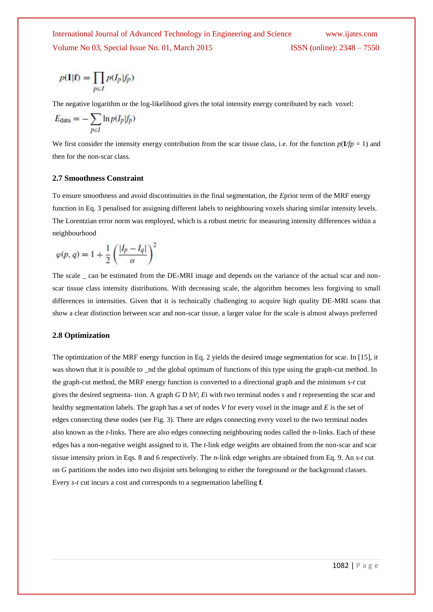$$
p(\mathbf{I}|\mathbf{f})=\prod_{p\in I}p(I_p|f_p)
$$

The negative logarithm or the log-likelihood gives the total intensity energy contributed by each voxel:

$$
E_{\text{data}} = -\sum_{p \in I} \ln p(I_p | f_p)
$$

We first consider the intensity energy contribution from the scar tissue class, i.e. for the function  $p(I/p = 1)$  and then for the non-scar class.

#### **2.7 Smoothness Constraint**

To ensure smoothness and avoid discontinuities in the final segmentation, the *E*prior term of the MRF energy function in Eq. 3 penalised for assigning different labels to neighbouring voxels sharing similar intensity levels. The Lorentzian error norm was employed, which is a robust metric for measuring intensity differences within a neighbourhood

$$
\varphi(p,q) = 1 + \frac{1}{2} \left( \frac{|I_p - I_q|}{\sigma} \right)^2
$$

The scale can be estimated from the DE-MRI image and depends on the variance of the actual scar and nonscar tissue class intensity distributions. With decreasing scale, the algorithm becomes less forgiving to small differences in intensities. Given that it is technically challenging to acquire high quality DE-MRI scans that show a clear distinction between scar and non-scar tissue, a larger value for the scale is almost always preferred

#### **2.8 Optimization**

The optimization of the MRF energy function in Eq. 2 yields the desired image segmentation for scar. In [15], it was shown that it is possible to \_nd the global optimum of functions of this type using the graph-cut method. In the graph-cut method, the MRF energy function is converted to a directional graph and the minimum *s*-*t* cut gives the desired segmenta- tion. A graph *G* D h*V*; *E*i with two terminal nodes *s* and *t* representing the scar and healthy segmentation labels. The graph has a set of nodes *V* for every voxel in the image and *E* is the set of edges connecting these nodes (see Fig. 3). There are edges connecting every voxel to the two terminal nodes also known as the *t*-links. There are also edges connecting neighbouring nodes called the *n*-links. Each of these edges has a non-negative weight assigned to it. The *t*-link edge weights are obtained from the non-scar and scar tissue intensity priors in Eqs. 8 and 6 respectively. The *n*-link edge weights are obtained from Eq. 9. An *s*-*t* cut on *G* partitions the nodes into two disjoint sets belonging to either the foreground or the background classes. Every *s*-*t* cut incurs a cost and corresponds to a segmentation labelling **f**.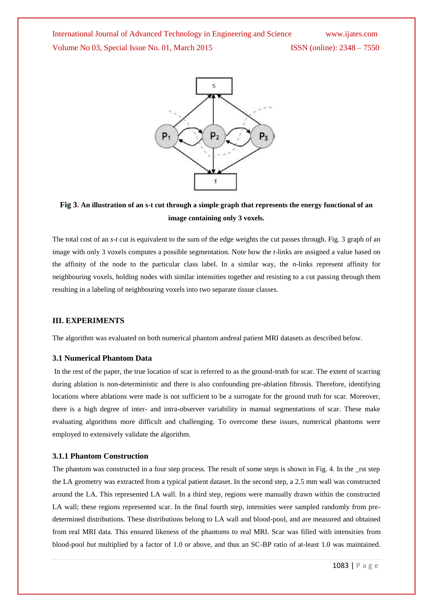

### **Fig 3. An illustration of an s-t cut through a simple graph that represents the energy functional of an image containing only 3 voxels.**

The total cost of an *s*-*t* cut is equivalent to the sum of the edge weights the cut passes through. Fig. 3 graph of an image with only 3 voxels computes a possible segmentation. Note how the *t*-links are assigned a value based on the affinity of the node to the particular class label. In a similar way, the *n*-links represent affinity for neighbouring voxels, holding nodes with similar intensities together and resisting to a cut passing through them resulting in a labeling of neighbouring voxels into two separate tissue classes.

#### **III. EXPERIMENTS**

The algorithm was evaluated on both numerical phantom andreal patient MRI datasets as described below.

#### **3.1 Numerical Phantom Data**

In the rest of the paper, the true location of scar is referred to as the ground-truth for scar. The extent of scarring during ablation is non-deterministic and there is also confounding pre-ablation fibrosis. Therefore, identifying locations where ablations were made is not sufficient to be a surrogate for the ground truth for scar. Moreover, there is a high degree of inter- and intra-observer variability in manual segmentations of scar. These make evaluating algorithms more difficult and challenging. To overcome these issues, numerical phantoms were employed to extensively validate the algorithm.

#### **3.1.1 Phantom Construction**

The phantom was constructed in a four step process. The result of some steps is shown in Fig. 4. In the rst step the LA geometry was extracted from a typical patient dataset. In the second step, a 2.5 mm wall was constructed around the LA. This represented LA wall. In a third step, regions were manually drawn within the constructed LA wall; these regions represented scar. In the final fourth step, intensities were sampled randomly from predetermined distributions. These distributions belong to LA wall and blood-pool, and are measured and obtained from real MRI data. This ensured likeness of the phantoms to real MRI. Scar was filled with intensities from blood-pool *but* multiplied by a factor of 1.0 or above, and thus an SC-BP ratio of at-least 1.0 was maintained.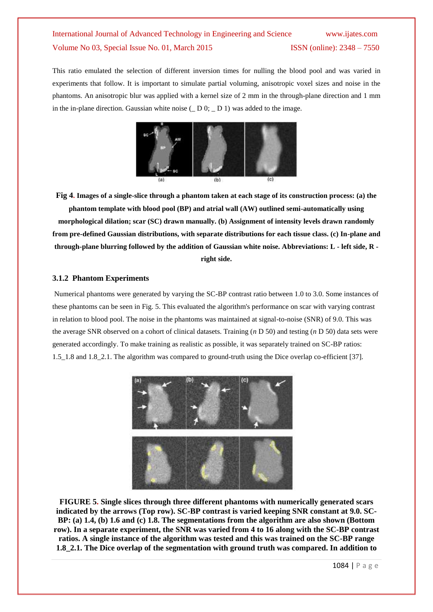This ratio emulated the selection of different inversion times for nulling the blood pool and was varied in experiments that follow. It is important to simulate partial voluming, anisotropic voxel sizes and noise in the phantoms. An anisotropic blur was applied with a kernel size of 2 mm in the through-plane direction and 1 mm in the in-plane direction. Gaussian white noise  $($   $)$   $D$   $($  $)$   $D$   $($  $)$   $)$  was added to the image.



**Fig 4. Images of a single-slice through a phantom taken at each stage of its construction process: (a) the phantom template with blood pool (BP) and atrial wall (AW) outlined semi-automatically using morphological dilation; scar (SC) drawn manually. (b) Assignment of intensity levels drawn randomly from pre-defined Gaussian distributions, with separate distributions for each tissue class. (c) In-plane and through-plane blurring followed by the addition of Gaussian white noise. Abbreviations: L - left side, R right side.**

#### **3.1.2 Phantom Experiments**

Numerical phantoms were generated by varying the SC-BP contrast ratio between 1.0 to 3.0. Some instances of these phantoms can be seen in Fig. 5. This evaluated the algorithm's performance on scar with varying contrast in relation to blood pool. The noise in the phantoms was maintained at signal-to-noise (SNR) of 9.0. This was the average SNR observed on a cohort of clinical datasets. Training (*n* D 50) and testing (*n* D 50) data sets were generated accordingly. To make training as realistic as possible, it was separately trained on SC-BP ratios: 1.5\_1.8 and 1.8\_2.1. The algorithm was compared to ground-truth using the Dice overlap co-efficient [37].



**FIGURE 5. Single slices through three different phantoms with numerically generated scars indicated by the arrows (Top row). SC-BP contrast is varied keeping SNR constant at 9.0. SC-BP: (a) 1.4, (b) 1.6 and (c) 1.8. The segmentations from the algorithm are also shown (Bottom row). In a separate experiment, the SNR was varied from 4 to 16 along with the SC-BP contrast ratios. A single instance of the algorithm was tested and this was trained on the SC-BP range 1.8\_2.1. The Dice overlap of the segmentation with ground truth was compared. In addition to**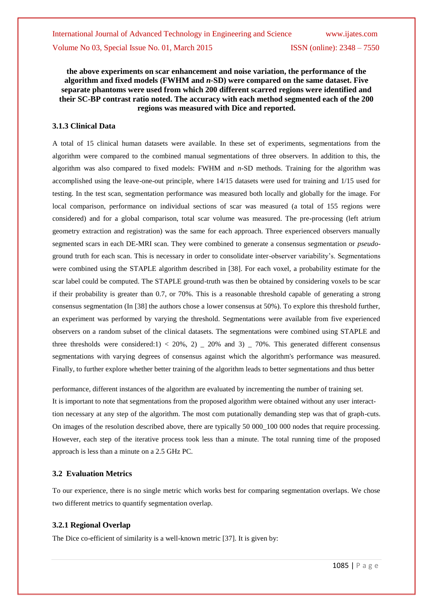#### **the above experiments on scar enhancement and noise variation, the performance of the algorithm and fixed models (FWHM and** *n***-SD) were compared on the same dataset. Five separate phantoms were used from which 200 different scarred regions were identified and their SC-BP contrast ratio noted. The accuracy with each method segmented each of the 200 regions was measured with Dice and reported.**

#### **3.1.3 Clinical Data**

A total of 15 clinical human datasets were available. In these set of experiments, segmentations from the algorithm were compared to the combined manual segmentations of three observers. In addition to this, the algorithm was also compared to fixed models: FWHM and *n*-SD methods. Training for the algorithm was accomplished using the leave-one-out principle, where 14/15 datasets were used for training and 1/15 used for testing. In the test scan, segmentation performance was measured both locally and globally for the image. For local comparison, performance on individual sections of scar was measured (a total of 155 regions were considered) and for a global comparison, total scar volume was measured. The pre-processing (left atrium geometry extraction and registration) was the same for each approach. Three experienced observers manually segmented scars in each DE-MRI scan. They were combined to generate a consensus segmentation or *pseudo*ground truth for each scan. This is necessary in order to consolidate inter-observer variability's. Segmentations were combined using the STAPLE algorithm described in [38]. For each voxel, a probability estimate for the scar label could be computed. The STAPLE ground-truth was then be obtained by considering voxels to be scar if their probability is greater than 0.7, or 70%. This is a reasonable threshold capable of generating a strong consensus segmentation (In [38] the authors chose a lower consensus at 50%). To explore this threshold further, an experiment was performed by varying the threshold. Segmentations were available from five experienced observers on a random subset of the clinical datasets. The segmentations were combined using STAPLE and three thresholds were considered:1) < 20%, 2)  $\pm$  20% and 3)  $\pm$  70%. This generated different consensus segmentations with varying degrees of consensus against which the algorithm's performance was measured. Finally, to further explore whether better training of the algorithm leads to better segmentations and thus better

performance, different instances of the algorithm are evaluated by incrementing the number of training set. It is important to note that segmentations from the proposed algorithm were obtained without any user interacttion necessary at any step of the algorithm. The most com putationally demanding step was that of graph-cuts. On images of the resolution described above, there are typically 50 000 100 000 nodes that require processing. However, each step of the iterative process took less than a minute. The total running time of the proposed approach is less than a minute on a 2.5 GHz PC.

#### **3.2 Evaluation Metrics**

To our experience, there is no single metric which works best for comparing segmentation overlaps. We chose two different metrics to quantify segmentation overlap.

#### **3.2.1 Regional Overlap**

The Dice co-efficient of similarity is a well-known metric [37]. It is given by: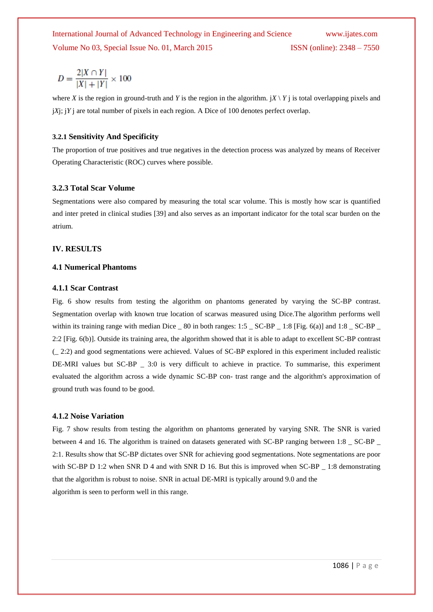$$
D = \frac{2|X \cap Y|}{|X| + |Y|} \times 100
$$

where *X* is the region in ground-truth and *Y* is the region in the algorithm.  $\vert X \setminus Y \vert$  is total overlapping pixels and j*X*j; j*Y* j are total number of pixels in each region. A Dice of 100 denotes perfect overlap.

#### **3.2.1 Sensitivity And Specificity**

The proportion of true positives and true negatives in the detection process was analyzed by means of Receiver Operating Characteristic (ROC) curves where possible.

#### **3.2.3 Total Scar Volume**

Segmentations were also compared by measuring the total scar volume. This is mostly how scar is quantified and inter preted in clinical studies [39] and also serves as an important indicator for the total scar burden on the atrium.

#### **IV. RESULTS**

#### **4.1 Numerical Phantoms**

#### **4.1.1 Scar Contrast**

Fig. 6 show results from testing the algorithm on phantoms generated by varying the SC-BP contrast. Segmentation overlap with known true location of scarwas measured using Dice.The algorithm performs well within its training range with median Dice  $\_ 80$  in both ranges: 1:5  $\_ SC-BP\_ 1:8$  [Fig. 6(a)] and 1:8  $\_ SC-BP$ 2:2 [Fig. 6(b)]. Outside its training area, the algorithm showed that it is able to adapt to excellent SC-BP contrast (\_ 2:2) and good segmentations were achieved. Values of SC-BP explored in this experiment included realistic DE-MRI values but SC-BP \_ 3:0 is very difficult to achieve in practice. To summarise, this experiment evaluated the algorithm across a wide dynamic SC-BP con- trast range and the algorithm's approximation of ground truth was found to be good.

#### **4.1.2 Noise Variation**

Fig. 7 show results from testing the algorithm on phantoms generated by varying SNR. The SNR is varied between 4 and 16. The algorithm is trained on datasets generated with SC-BP ranging between 1:8 \_ SC-BP \_ 2:1. Results show that SC-BP dictates over SNR for achieving good segmentations. Note segmentations are poor with SC-BP D 1:2 when SNR D 4 and with SNR D 16. But this is improved when SC-BP 1:8 demonstrating that the algorithm is robust to noise. SNR in actual DE-MRI is typically around 9.0 and the algorithm is seen to perform well in this range.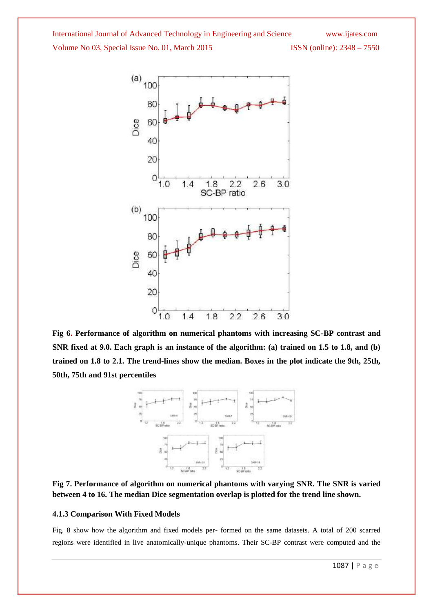

**Fig 6. Performance of algorithm on numerical phantoms with increasing SC-BP contrast and SNR fixed at 9.0. Each graph is an instance of the algorithm: (a) trained on 1.5 to 1.8, and (b) trained on 1.8 to 2.1. The trend-lines show the median. Boxes in the plot indicate the 9th, 25th, 50th, 75th and 91st percentiles**



**Fig 7. Performance of algorithm on numerical phantoms with varying SNR. The SNR is varied between 4 to 16. The median Dice segmentation overlap is plotted for the trend line shown.**

#### **4.1.3 Comparison With Fixed Models**

Fig. 8 show how the algorithm and fixed models per- formed on the same datasets. A total of 200 scarred regions were identified in live anatomically-unique phantoms. Their SC-BP contrast were computed and the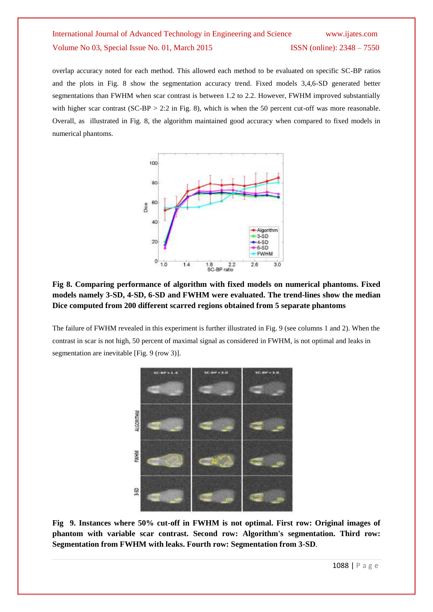overlap accuracy noted for each method. This allowed each method to be evaluated on specific SC-BP ratios and the plots in Fig. 8 show the segmentation accuracy trend. Fixed models 3,4,6-SD generated better segmentations than FWHM when scar contrast is between 1.2 to 2.2. However, FWHM improved substantially with higher scar contrast  $(SC-BP > 2:2$  in Fig. 8), which is when the 50 percent cut-off was more reasonable. Overall, as illustrated in Fig. 8, the algorithm maintained good accuracy when compared to fixed models in numerical phantoms.



### **Fig 8. Comparing performance of algorithm with fixed models on numerical phantoms. Fixed models namely 3-SD, 4-SD, 6-SD and FWHM were evaluated. The trend-lines show the median Dice computed from 200 different scarred regions obtained from 5 separate phantoms**

The failure of FWHM revealed in this experiment is further illustrated in Fig. 9 (see columns 1 and 2). When the contrast in scar is not high, 50 percent of maximal signal as considered in FWHM, is not optimal and leaks in segmentation are inevitable [Fig. 9 (row 3)].



**Fig 9. Instances where 50% cut-off in FWHM is not optimal. First row: Original images of phantom with variable scar contrast. Second row: Algorithm's segmentation. Third row: Segmentation from FWHM with leaks. Fourth row: Segmentation from 3-SD**.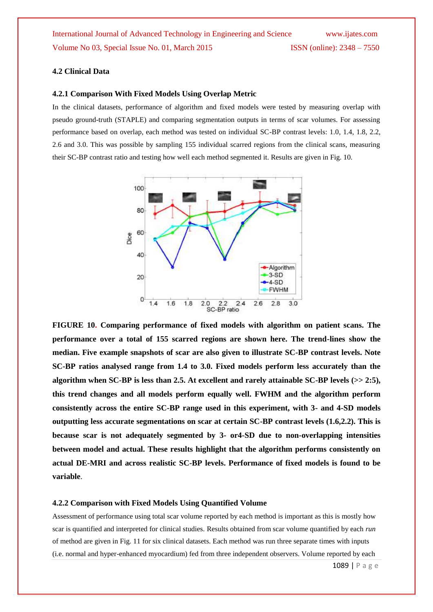#### **4.2 Clinical Data**

#### **4.2.1 Comparison With Fixed Models Using Overlap Metric**

In the clinical datasets, performance of algorithm and fixed models were tested by measuring overlap with pseudo ground-truth (STAPLE) and comparing segmentation outputs in terms of scar volumes. For assessing performance based on overlap, each method was tested on individual SC-BP contrast levels: 1.0, 1.4, 1.8, 2.2, 2.6 and 3.0. This was possible by sampling 155 individual scarred regions from the clinical scans, measuring their SC-BP contrast ratio and testing how well each method segmented it. Results are given in Fig. 10.



**FIGURE 10. Comparing performance of fixed models with algorithm on patient scans. The performance over a total of 155 scarred regions are shown here. The trend-lines show the median. Five example snapshots of scar are also given to illustrate SC-BP contrast levels. Note SC-BP ratios analysed range from 1.4 to 3.0. Fixed models perform less accurately than the algorithm when SC-BP is less than 2.5. At excellent and rarely attainable SC-BP levels (>> 2:5), this trend changes and all models perform equally well. FWHM and the algorithm perform consistently across the entire SC-BP range used in this experiment, with 3- and 4-SD models outputting less accurate segmentations on scar at certain SC-BP contrast levels (1.6,2.2). This is because scar is not adequately segmented by 3- or4-SD due to non-overlapping intensities between model and actual. These results highlight that the algorithm performs consistently on actual DE-MRI and across realistic SC-BP levels. Performance of fixed models is found to be variable**.

#### **4.2.2 Comparison with Fixed Models Using Quantified Volume**

Assessment of performance using total scar volume reported by each method is important as this is mostly how scar is quantified and interpreted for clinical studies. Results obtained from scar volume quantified by each *run* of method are given in Fig. 11 for six clinical datasets. Each method was run three separate times with inputs (i.e. normal and hyper-enhanced myocardium) fed from three independent observers. Volume reported by each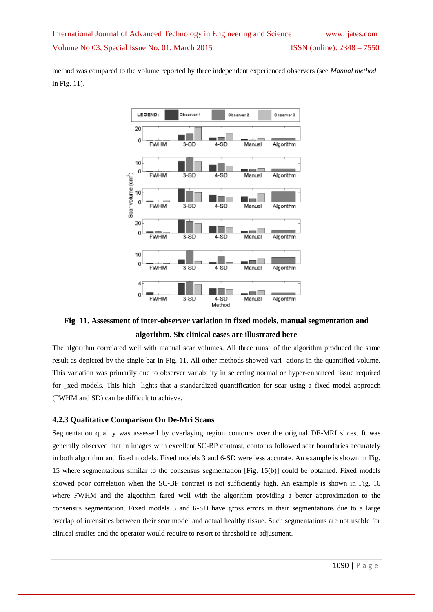method was compared to the volume reported by three independent experienced observers (see *Manual method*  in Fig. 11).



### **Fig 11. Assessment of inter-observer variation in fixed models, manual segmentation and algorithm. Six clinical cases are illustrated here**

The algorithm correlated well with manual scar volumes. All three runs of the algorithm produced the same result as depicted by the single bar in Fig. 11. All other methods showed vari- ations in the quantified volume. This variation was primarily due to observer variability in selecting normal or hyper-enhanced tissue required for \_xed models. This high- lights that a standardized quantification for scar using a fixed model approach (FWHM and SD) can be difficult to achieve.

#### **4.2.3 Qualitative Comparison On De-Mri Scans**

Segmentation quality was assessed by overlaying region contours over the original DE-MRI slices. It was generally observed that in images with excellent SC-BP contrast, contours followed scar boundaries accurately in both algorithm and fixed models. Fixed models 3 and 6-SD were less accurate. An example is shown in Fig. 15 where segmentations similar to the consensus segmentation [Fig. 15(b)] could be obtained. Fixed models showed poor correlation when the SC-BP contrast is not sufficiently high. An example is shown in Fig. 16 where FWHM and the algorithm fared well with the algorithm providing a better approximation to the consensus segmentation. Fixed models 3 and 6-SD have gross errors in their segmentations due to a large overlap of intensities between their scar model and actual healthy tissue. Such segmentations are not usable for clinical studies and the operator would require to resort to threshold re-adjustment.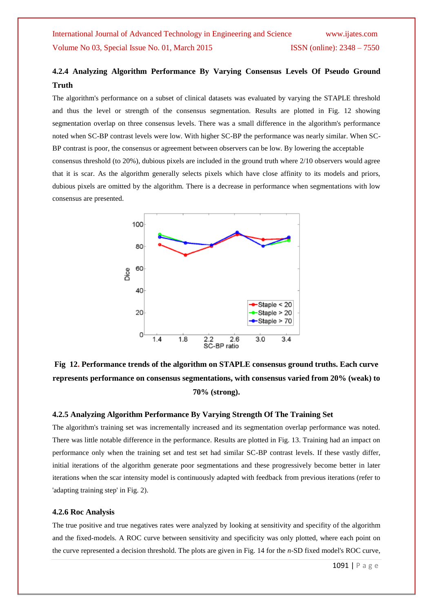### **4.2.4 Analyzing Algorithm Performance By Varying Consensus Levels Of Pseudo Ground Truth**

The algorithm's performance on a subset of clinical datasets was evaluated by varying the STAPLE threshold and thus the level or strength of the consensus segmentation. Results are plotted in Fig. 12 showing segmentation overlap on three consensus levels. There was a small difference in the algorithm's performance noted when SC-BP contrast levels were low. With higher SC-BP the performance was nearly similar. When SC-BP contrast is poor, the consensus or agreement between observers can be low. By lowering the acceptable consensus threshold (to 20%), dubious pixels are included in the ground truth where 2/10 observers would agree that it is scar. As the algorithm generally selects pixels which have close affinity to its models and priors, dubious pixels are omitted by the algorithm. There is a decrease in performance when segmentations with low consensus are presented.



**Fig 12. Performance trends of the algorithm on STAPLE consensus ground truths. Each curve represents performance on consensus segmentations, with consensus varied from 20% (weak) to 70% (strong).**

#### **4.2.5 Analyzing Algorithm Performance By Varying Strength Of The Training Set**

The algorithm's training set was incrementally increased and its segmentation overlap performance was noted. There was little notable difference in the performance. Results are plotted in Fig. 13. Training had an impact on performance only when the training set and test set had similar SC-BP contrast levels. If these vastly differ, initial iterations of the algorithm generate poor segmentations and these progressively become better in later iterations when the scar intensity model is continuously adapted with feedback from previous iterations (refer to 'adapting training step' in Fig. 2).

#### **4.2.6 Roc Analysis**

The true positive and true negatives rates were analyzed by looking at sensitivity and specifity of the algorithm and the fixed-models. A ROC curve between sensitivity and specificity was only plotted, where each point on the curve represented a decision threshold. The plots are given in Fig. 14 for the *n*-SD fixed model's ROC curve,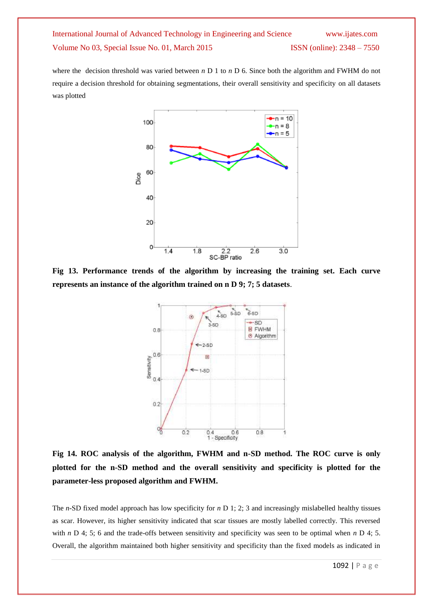where the decision threshold was varied between *n* D 1 to *n* D 6. Since both the algorithm and FWHM do not require a decision threshold for obtaining segmentations, their overall sensitivity and specificity on all datasets was plotted



**Fig 13. Performance trends of the algorithm by increasing the training set. Each curve represents an instance of the algorithm trained on n D 9; 7; 5 datasets**.



**Fig 14. ROC analysis of the algorithm, FWHM and n-SD method. The ROC curve is only plotted for the n-SD method and the overall sensitivity and specificity is plotted for the parameter-less proposed algorithm and FWHM.**

The *n*-SD fixed model approach has low specificity for *n* D 1; 2; 3 and increasingly mislabelled healthy tissues as scar. However, its higher sensitivity indicated that scar tissues are mostly labelled correctly. This reversed with *n* D 4; 5; 6 and the trade-offs between sensitivity and specificity was seen to be optimal when *n* D 4; 5. Overall, the algorithm maintained both higher sensitivity and specificity than the fixed models as indicated in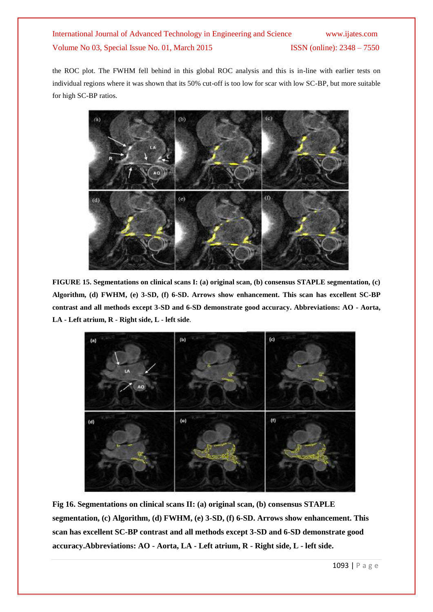the ROC plot. The FWHM fell behind in this global ROC analysis and this is in-line with earlier tests on individual regions where it was shown that its 50% cut-off is too low for scar with low SC-BP, but more suitable for high SC-BP ratios.



**FIGURE 15. Segmentations on clinical scans I: (a) original scan, (b) consensus STAPLE segmentation, (c) Algorithm, (d) FWHM, (e) 3-SD, (f) 6-SD. Arrows show enhancement. This scan has excellent SC-BP contrast and all methods except 3-SD and 6-SD demonstrate good accuracy. Abbreviations: AO - Aorta, LA - Left atrium, R - Right side, L - left side**.



**Fig 16. Segmentations on clinical scans II: (a) original scan, (b) consensus STAPLE segmentation, (c) Algorithm, (d) FWHM, (e) 3-SD, (f) 6-SD. Arrows show enhancement. This scan has excellent SC-BP contrast and all methods except 3-SD and 6-SD demonstrate good accuracy.Abbreviations: AO - Aorta, LA - Left atrium, R - Right side, L - left side.**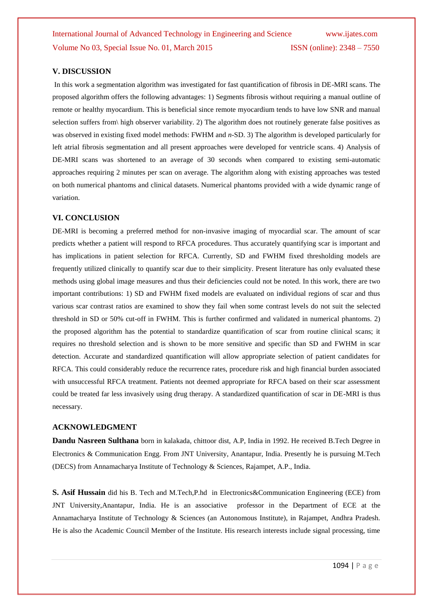#### **V. DISCUSSION**

In this work a segmentation algorithm was investigated for fast quantification of fibrosis in DE-MRI scans. The proposed algorithm offers the following advantages: 1) Segments fibrosis without requiring a manual outline of remote or healthy myocardium. This is beneficial since remote myocardium tends to have low SNR and manual selection suffers from\ high observer variability. 2) The algorithm does not routinely generate false positives as was observed in existing fixed model methods: FWHM and *n*-SD. 3) The algorithm is developed particularly for left atrial fibrosis segmentation and all present approaches were developed for ventricle scans. 4) Analysis of DE-MRI scans was shortened to an average of 30 seconds when compared to existing semi-automatic approaches requiring 2 minutes per scan on average. The algorithm along with existing approaches was tested on both numerical phantoms and clinical datasets. Numerical phantoms provided with a wide dynamic range of variation.

#### **VI. CONCLUSION**

DE-MRI is becoming a preferred method for non-invasive imaging of myocardial scar. The amount of scar predicts whether a patient will respond to RFCA procedures. Thus accurately quantifying scar is important and has implications in patient selection for RFCA. Currently, SD and FWHM fixed thresholding models are frequently utilized clinically to quantify scar due to their simplicity. Present literature has only evaluated these methods using global image measures and thus their deficiencies could not be noted. In this work, there are two important contributions: 1) SD and FWHM fixed models are evaluated on individual regions of scar and thus various scar contrast ratios are examined to show they fail when some contrast levels do not suit the selected threshold in SD or 50% cut-off in FWHM. This is further confirmed and validated in numerical phantoms. 2) the proposed algorithm has the potential to standardize quantification of scar from routine clinical scans; it requires no threshold selection and is shown to be more sensitive and specific than SD and FWHM in scar detection. Accurate and standardized quantification will allow appropriate selection of patient candidates for RFCA. This could considerably reduce the recurrence rates, procedure risk and high financial burden associated with unsuccessful RFCA treatment. Patients not deemed appropriate for RFCA based on their scar assessment could be treated far less invasively using drug therapy. A standardized quantification of scar in DE-MRI is thus necessary.

#### **ACKNOWLEDGMENT**

**Dandu Nasreen Sulthana** born in kalakada, chittoor dist, A.P, India in 1992. He received B.Tech Degree in Electronics & Communication Engg. From JNT University, Anantapur, India. Presently he is pursuing M.Tech (DECS) from Annamacharya Institute of Technology & Sciences, Rajampet, A.P., India.

**S. Asif Hussain** did his B. Tech and M.Tech,P.hd in Electronics&Communication Engineering (ECE) from JNT University,Anantapur, India. He is an associative professor in the Department of ECE at the Annamacharya Institute of Technology & Sciences (an Autonomous Institute), in Rajampet, Andhra Pradesh. He is also the Academic Council Member of the Institute. His research interests include signal processing, time